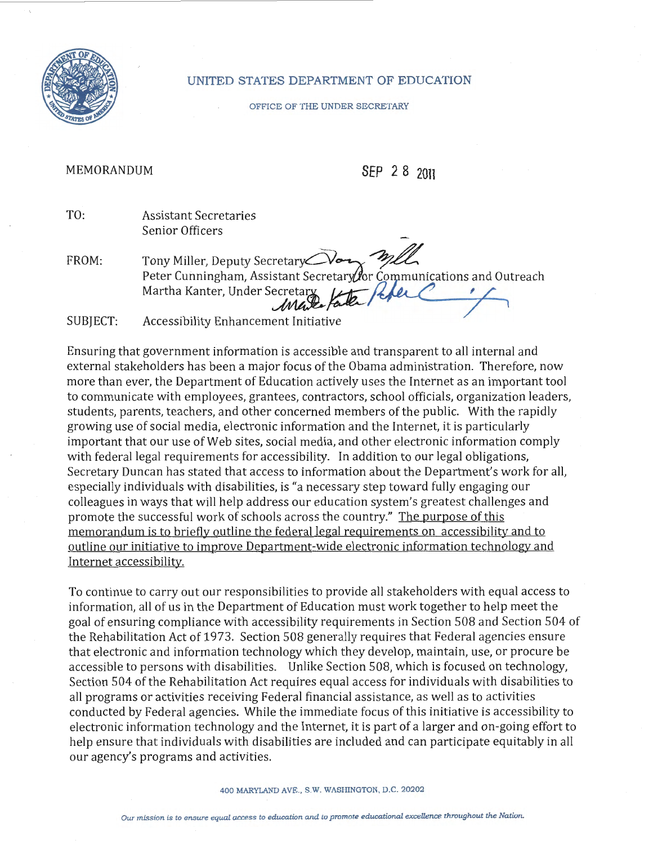

## UNITED STATES DEPARTMENT OF EDUCATION

## OFFICE OF THE UNDER SECRETARY

## MEMORANDUM **SEP** *2 8* **<sup>2011</sup>**

TO: Assistant Secretaries Senior Officers

FROM: Tony Miller, Deputy Secretary Peter Cunningham, Assistant Secretary for Communications and Outreach<br>Martha Kanter, Under Secretary Kole Communications and Outreach

SUBJECT: Accessibility Enhancement Initiative

Ensuring that government information is accessible and transparent to all internal and external stakeholders has been a major focus of the Obama administration. Therefore, now more than ever, the Department of Education actively uses the Internet as an important tool to communicate with employees, grantees, contractors, school officials, organization leaders, students, parents, teachers, and other concerned members of the public. With the rapidly growing use of social media, electronic information and the Internet, it is particularly important that our use of Web sites, social media, and other electronic information comply with federal legal requirements for accessibility. In addition to our legal obligations, Secretary Duncan has stated that access to information about the Department's work for all, especially individuals with disabilities, is "a necessary step toward fully engaging our colleagues in ways that will help address our education system's greatest challenges and promote the successful work of schools across the country." The purpose of this memorandum is to briefly outline the federal legal requirements on accessibility and to outline our initiative to improve Department-wide electronic information technology and Internet accessibility.

To continue to carry out our responsibilities to provide all stakeholders with equal access to information, all of us in the Department of Education must work together to help meet the goal of ensuring compliance with accessibility requirements in Section 508 and Section 504 of the Rehabilitation Act of 1973. Section 508 generally requires that Federal agencies ensure that electronic and information technology which they develop, maintain, use, or procure be accessible to persons with disabilities. Unlike Section 508, which is focused on technology, Section 504 of the Rehabilitation Act requires equal access for individuals with disabilities to all programs or activities receiving Federal financial assistance, as well as to activities conducted by Federal agencies. While the immediate focus ofthis initiative is accessibility to electronic information technology and the Internet, it is part of a larger and on-going effort to help ensure that individuals with disabilities are included and can participate equitably in all our agency's programs and activities.

## 400 MARYLAND AVE., S.W. WASHINGTON, D.C. 20202